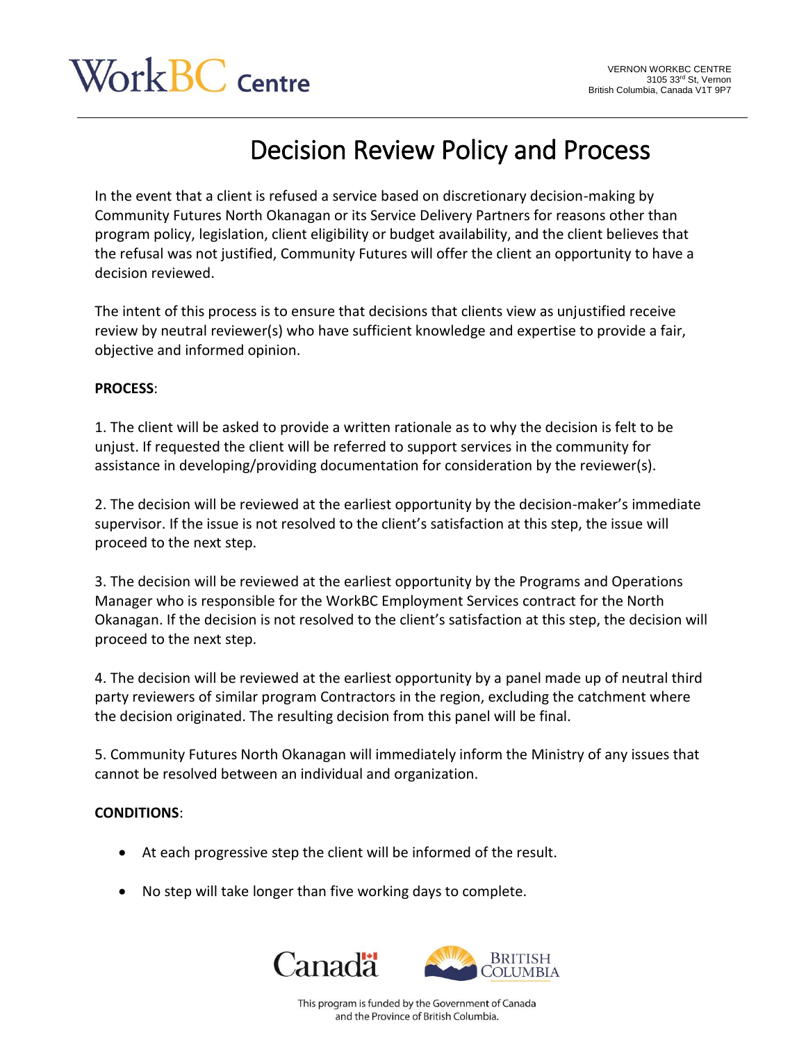## $\rm{Vork}BC$  Centre

## Decision Review Policy and Process

In the event that a client is refused a service based on discretionary decision-making by Community Futures North Okanagan or its Service Delivery Partners for reasons other than program policy, legislation, client eligibility or budget availability, and the client believes that the refusal was not justified, Community Futures will offer the client an opportunity to have a decision reviewed.

The intent of this process is to ensure that decisions that clients view as unjustified receive review by neutral reviewer(s) who have sufficient knowledge and expertise to provide a fair, objective and informed opinion.

## **PROCESS**:

1. The client will be asked to provide a written rationale as to why the decision is felt to be unjust. If requested the client will be referred to support services in the community for assistance in developing/providing documentation for consideration by the reviewer(s).

2. The decision will be reviewed at the earliest opportunity by the decision-maker's immediate supervisor. If the issue is not resolved to the client's satisfaction at this step, the issue will proceed to the next step.

3. The decision will be reviewed at the earliest opportunity by the Programs and Operations Manager who is responsible for the WorkBC Employment Services contract for the North Okanagan. If the decision is not resolved to the client's satisfaction at this step, the decision will proceed to the next step.

4. The decision will be reviewed at the earliest opportunity by a panel made up of neutral third party reviewers of similar program Contractors in the region, excluding the catchment where the decision originated. The resulting decision from this panel will be final.

5. Community Futures North Okanagan will immediately inform the Ministry of any issues that cannot be resolved between an individual and organization.

## **CONDITIONS**:

- At each progressive step the client will be informed of the result.
- No step will take longer than five working days to complete.



This program is funded by the Government of Canada and the Province of British Columbia.